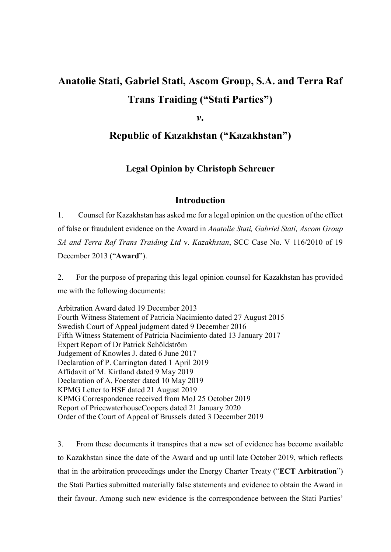# Anatolie Stati, Gabriel Stati, Ascom Group, S.A. and Terra Raf Trans Traiding ("Stati Parties")

v.

# Republic of Kazakhstan ("Kazakhstan")

# Legal Opinion by Christoph Schreuer

#### Introduction

1. Counsel for Kazakhstan has asked me for a legal opinion on the question of the effect of false or fraudulent evidence on the Award in Anatolie Stati, Gabriel Stati, Ascom Group SA and Terra Raf Trans Traiding Ltd v. Kazakhstan, SCC Case No. V 116/2010 of 19 December 2013 ("Award").

2. For the purpose of preparing this legal opinion counsel for Kazakhstan has provided me with the following documents:

Arbitration Award dated 19 December 2013 Fourth Witness Statement of Patricia Nacimiento dated 27 August 2015 Swedish Court of Appeal judgment dated 9 December 2016 Fifth Witness Statement of Patricia Nacimiento dated 13 January 2017 Expert Report of Dr Patrick Schöldström Judgement of Knowles J. dated 6 June 2017 Declaration of P. Carrington dated 1 April 2019 Affidavit of M. Kirtland dated 9 May 2019 Declaration of A. Foerster dated 10 May 2019 KPMG Letter to HSF dated 21 August 2019 KPMG Correspondence received from MoJ 25 October 2019 Report of PricewaterhouseCoopers dated 21 January 2020 Order of the Court of Appeal of Brussels dated 3 December 2019

3. From these documents it transpires that a new set of evidence has become available to Kazakhstan since the date of the Award and up until late October 2019, which reflects that in the arbitration proceedings under the Energy Charter Treaty ("ECT Arbitration") the Stati Parties submitted materially false statements and evidence to obtain the Award in their favour. Among such new evidence is the correspondence between the Stati Parties'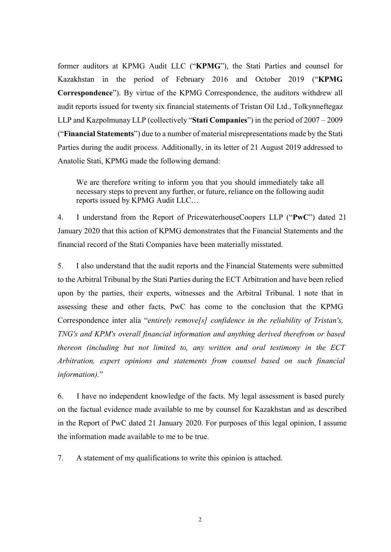former auditors at KPMG Audit LLC ("KPMG"), the Stati Parties and counsel for Kazakhstan in the period of February 2016 and October 2019 ("KPMG Correspondence"). By virtue of the KPMG Correspondence, the auditors withdrew all audit reports issued for twenty six financial statements of Tristan Oil Ltd., Tolkynneftegaz LLP and Kazpolmunay LLP (collectively "Stati Companies") in the period of 2007 – 2009 ("Financial Statements") due to a number of material misrepresentations made by the Stati Parties during the audit process. Additionally, in its letter of 21 August 2019 addressed to Anatolie Stati, KPMG made the following demand:

We are therefore writing to inform you that you should immediately take all necessary steps to prevent any further, or future, reliance on the following audit reports issued by KPMG Audit LLC…

4. I understand from the Report of PricewaterhouseCoopers LLP ("PwC") dated 21 January 2020 that this action of KPMG demonstrates that the Financial Statements and the financial record of the Stati Companies have been materially misstated.

5. I also understand that the audit reports and the Financial Statements were submitted to the Arbitral Tribunal by the Stati Parties during the ECT Arbitration and have been relied upon by the parties, their experts, witnesses and the Arbitral Tribunal. I note that in assessing these and other facts, PwC has come to the conclusion that the KPMG Correspondence inter alia "entirely remove[s] confidence in the reliability of Tristan's, TNG's and KPM's overall financial information and anything derived therefrom or based thereon (including but not limited to, any written and oral testimony in the ECT Arbi*t*ration, expert opinions and statements from counsel based on such financial information)."

6. I have no independent knowledge of the facts. My legal assessment is based purely on the factual evidence made available to me by counsel for Kazakhstan and as described in the Report of PwC dated 21 January 2020. For purposes of this legal opinion, I assume the information made available to me to be true.

7. A statement of my qualifications to write this opinion is attached.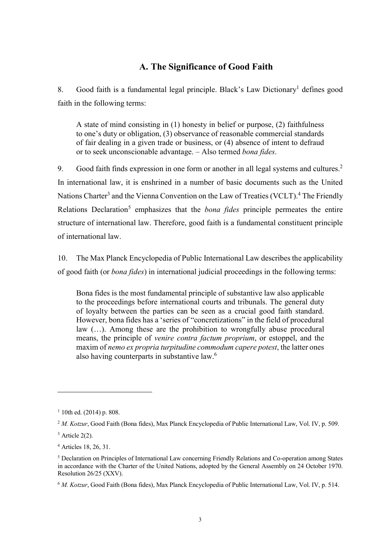# A. The Significance of Good Faith

8. Good faith is a fundamental legal principle. Black's Law Dictionary<sup>1</sup> defines good faith in the following terms:

A state of mind consisting in (1) honesty in belief or purpose, (2) faithfulness to one's duty or obligation, (3) observance of reasonable commercial standards of fair dealing in a given trade or business, or (4) absence of intent to defraud or to seek unconscionable advantage. – Also termed bona fides.

9. Good faith finds expression in one form or another in all legal systems and cultures.<sup>2</sup> In international law, it is enshrined in a number of basic documents such as the United Nations Charter<sup>3</sup> and the Vienna Convention on the Law of Treaties (VCLT).<sup>4</sup> The Friendly Relations Declaration<sup>5</sup> emphasizes that the *bona fides* principle permeates the entire structure of international law. Therefore, good faith is a fundamental constituent principle of international law.

10. The Max Planck Encyclopedia of Public International Law describes the applicability of good faith (or bona fides) in international judicial proceedings in the following terms:

Bona fides is the most fundamental principle of substantive law also applicable to the proceedings before international courts and tribunals. The general duty of loyalty between the parties can be seen as a crucial good faith standard. However, bona fides has a 'series of "concretizations" in the field of procedural law (…). Among these are the prohibition to wrongfully abuse procedural means, the principle of venire contra factum proprium, or estoppel, and the maxim of nemo ex propria turpitudine commodum capere potest, the latter ones also having counterparts in substantive law.<sup>6</sup>

 $1$  10th ed. (2014) p. 808.

<sup>&</sup>lt;sup>2</sup> M. Kotzur, Good Faith (Bona fides), Max Planck Encyclopedia of Public International Law, Vol. IV, p. 509.

 $3$  Article 2(2).

<sup>4</sup> Articles 18, 26, 31.

<sup>&</sup>lt;sup>5</sup> Declaration on Principles of International Law concerning Friendly Relations and Co-operation among States in accordance with the Charter of the United Nations, adopted by the General Assembly on 24 October 1970. Resolution 26/25 (XXV).

<sup>&</sup>lt;sup>6</sup> M. Kotzur, Good Faith (Bona fides), Max Planck Encyclopedia of Public International Law, Vol. IV, p. 514.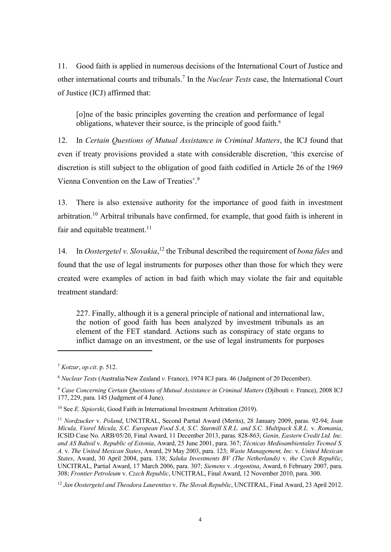11. Good faith is applied in numerous decisions of the International Court of Justice and other international courts and tribunals.<sup>7</sup> In the *Nuclear Tests* case, the International Court of Justice (ICJ) affirmed that:

[o]ne of the basic principles governing the creation and performance of legal obligations, whatever their source, is the principle of good faith.<sup>8</sup>

12. In Certain Questions of Mutual Assistance in Criminal Matters, the ICJ found that even if treaty provisions provided a state with considerable discretion, 'this exercise of discretion is still subject to the obligation of good faith codified in Article 26 of the 1969 Vienna Convention on the Law of Treaties'.<sup>9</sup>

13. There is also extensive authority for the importance of good faith in investment arbitration.<sup>10</sup> Arbitral tribunals have confirmed, for example, that good faith is inherent in fair and equitable treatment. $^{11}$ 

14. In Oostergetel v. Slovakia,<sup>12</sup> the Tribunal described the requirement of *bona fides* and found that the use of legal instruments for purposes other than those for which they were created were examples of action in bad faith which may violate the fair and equitable treatment standard:

227. Finally, although it is a general principle of national and international law, the notion of good faith has been analyzed by investment tribunals as an element of the FET standard. Actions such as conspiracy of state organs to inflict damage on an investment, or the use of legal instruments for purposes

 $7$  Kotzur, op.cit. p. 512.

<sup>8</sup> Nuclear Tests (Australia/New Zealand v. France), 1974 ICJ para. 46 (Judgment of 20 December).

<sup>9</sup> Case Concerning Certain Questions of Mutual Assistance in Criminal Matters (Djibouti v. France), 2008 ICJ 177, 229, para. 145 (Judgment of 4 June).

<sup>&</sup>lt;sup>10</sup> See *E. Sipiorski*, Good Faith in International Investment Arbitration (2019).

<sup>&</sup>lt;sup>11</sup> Nordzucker v. Poland, UNCITRAL, Second Partial Award (Merits), 28 January 2009, paras. 92-94; Ioan Micula, Viorel Micula, S.C. European Food S.A, S.C. Starmill S.R.L. and S.C. Multipack S.R.L. v. Romania, ICSID Case No. ARB/05/20, Final Award, 11 December 2013, paras. 828-863; Genin, Eastern Credit Ltd. Inc. and AS Baltoil v. Republic of Estonia, Award, 25 June 2001, para. 367; Técnicas Medioambientales Tecmed S. A. v. The United Mexican States, Award, 29 May 2003, para. 123; Waste Management, Inc. v. United Mexican States, Award, 30 April 2004, para. 138; Saluka Investments BV (The Netherlands) v. the Czech Republic, UNCITRAL, Partial Award, 17 March 2006, para. 307; Siemens v. Argentina, Award, 6 February 2007, para. 308; Frontier Petroleum v. Czech Republic, UNCITRAL, Final Award, 12 November 2010, para. 300.

<sup>&</sup>lt;sup>12</sup> Jan Oostergetel and Theodora Laurentius v. The Slovak Republic, UNCITRAL, Final Award, 23 April 2012.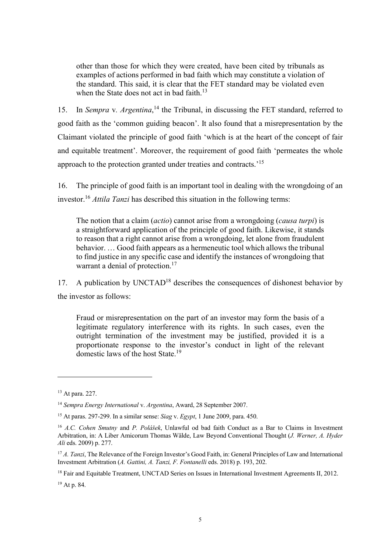other than those for which they were created, have been cited by tribunals as examples of actions performed in bad faith which may constitute a violation of the standard. This said, it is clear that the FET standard may be violated even when the State does not act in bad faith.<sup>13</sup>

15. In Sempra v. Argentina,<sup>14</sup> the Tribunal, in discussing the FET standard, referred to good faith as the 'common guiding beacon'. It also found that a misrepresentation by the Claimant violated the principle of good faith 'which is at the heart of the concept of fair and equitable treatment'. Moreover, the requirement of good faith 'permeates the whole approach to the protection granted under treaties and contracts.'<sup>15</sup>

16. The principle of good faith is an important tool in dealing with the wrongdoing of an investor.<sup>16</sup> Attila Tanzi has described this situation in the following terms:

The notion that a claim *(actio)* cannot arise from a wrongdoing *(causa turpi)* is a straightforward application of the principle of good faith. Likewise, it stands to reason that a right cannot arise from a wrongdoing, let alone from fraudulent behavior. … Good faith appears as a hermeneutic tool which allows the tribunal to find justice in any specific case and identify the instances of wrongdoing that warrant a denial of protection.<sup>17</sup>

17. A publication by  $UNCTAD<sup>18</sup>$  describes the consequences of dishonest behavior by the investor as follows:

Fraud or misrepresentation on the part of an investor may form the basis of a legitimate regulatory interference with its rights. In such cases, even the outright termination of the investment may be justified, provided it is a proportionate response to the investor's conduct in light of the relevant domestic laws of the host State.<sup>19</sup>

 $\overline{a}$ 

19 At p. 84.

<sup>13</sup> At para. 227.

<sup>&</sup>lt;sup>14</sup> Sempra Energy International v. Argentina, Award, 28 September 2007.

<sup>&</sup>lt;sup>15</sup> At paras. 297-299. In a similar sense: Siag v. Egypt, 1 June 2009, para. 450.

<sup>&</sup>lt;sup>16</sup> A.C. Cohen Smutny and P. Polášek, Unlawful od bad faith Conduct as a Bar to Claims in Investment Arbitration, in: A Liber Amicorum Thomas Wälde, Law Beyond Conventional Thought (J. Werner, A. Hyder Ali eds. 2009) p. 277.

<sup>&</sup>lt;sup>17</sup> A. Tanzi, The Relevance of the Foreign Investor's Good Faith, in: General Principles of Law and International Investment Arbitration (A. Gattini, A. Tanzi, F. Fontanelli eds. 2018) p. 193, 202.

<sup>&</sup>lt;sup>18</sup> Fair and Equitable Treatment, UNCTAD Series on Issues in International Investment Agreements II, 2012.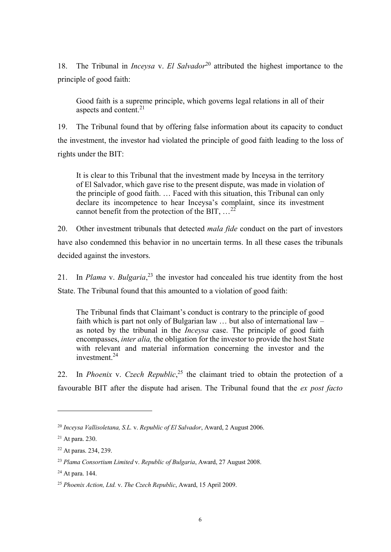18. The Tribunal in *Inceysa v. El Salvador*<sup>20</sup> attributed the highest importance to the principle of good faith:

Good faith is a supreme principle, which governs legal relations in all of their aspects and content.<sup>21</sup>

19. The Tribunal found that by offering false information about its capacity to conduct the investment, the investor had violated the principle of good faith leading to the loss of rights under the BIT:

It is clear to this Tribunal that the investment made by Inceysa in the territory of El Salvador, which gave rise to the present dispute, was made in violation of the principle of good faith. … Faced with this situation, this Tribunal can only declare its incompetence to hear Inceysa's complaint, since its investment cannot benefit from the protection of the BIT,  $\dots^{22}$ 

20. Other investment tribunals that detected *mala fide* conduct on the part of investors have also condemned this behavior in no uncertain terms. In all these cases the tribunals decided against the investors.

21. In *Plama* v. *Bulgaria*,<sup>23</sup> the investor had concealed his true identity from the host State. The Tribunal found that this amounted to a violation of good faith:

The Tribunal finds that Claimant's conduct is contrary to the principle of good faith which is part not only of Bulgarian law … but also of international law – as noted by the tribunal in the Inceysa case. The principle of good faith encompasses, inter alia, the obligation for the investor to provide the host State with relevant and material information concerning the investor and the  $investment<sup>24</sup>$ 

22. In *Phoenix v. Czech Republic*,<sup>25</sup> the claimant tried to obtain the protection of a favourable BIT after the dispute had arisen. The Tribunal found that the ex post facto

 $^{20}$  Inceysa Vallisoletana, S.L. v. Republic of El Salvador, Award, 2 August 2006.

<sup>21</sup> At para. 230.

<sup>22</sup> At paras. 234, 239.

 $^{23}$  Plama Consortium Limited v. Republic of Bulgaria, Award, 27 August 2008.

<sup>24</sup> At para. 144.

<sup>&</sup>lt;sup>25</sup> Phoenix Action, Ltd. v. The Czech Republic, Award, 15 April 2009.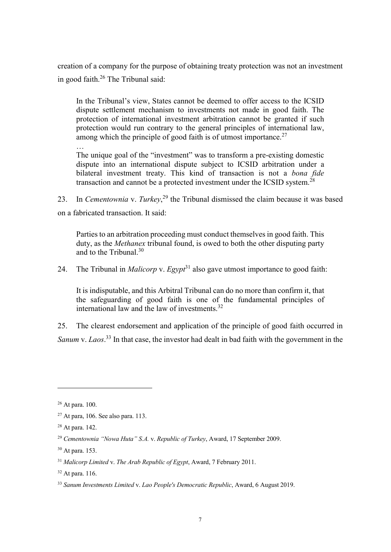creation of a company for the purpose of obtaining treaty protection was not an investment in good faith.<sup>26</sup> The Tribunal said:

In the Tribunal's view, States cannot be deemed to offer access to the ICSID dispute settlement mechanism to investments not made in good faith. The protection of international investment arbitration cannot be granted if such protection would run contrary to the general principles of international law, among which the principle of good faith is of utmost importance. $27$ 

The unique goal of the "investment" was to transform a pre-existing domestic dispute into an international dispute subject to ICSID arbitration under a bilateral investment treaty. This kind of transaction is not a bona fide transaction and cannot be a protected investment under the ICSID system.<sup>28</sup>

23. In Cementownia v. Turkey,<sup>29</sup> the Tribunal dismissed the claim because it was based on a fabricated transaction. It said:

Parties to an arbitration proceeding must conduct themselves in good faith. This duty, as the Methanex tribunal found, is owed to both the other disputing party and to the Tribunal.<sup>30</sup>

24. The Tribunal in *Malicorp* v.  $Egypt<sup>31</sup>$  also gave utmost importance to good faith:

It is indisputable, and this Arbitral Tribunal can do no more than confirm it, that the safeguarding of good faith is one of the fundamental principles of international law and the law of investments.<sup>32</sup>

25. The clearest endorsement and application of the principle of good faith occurred in Sanum v. Laos.<sup>33</sup> In that case, the investor had dealt in bad faith with the government in the

 $\overline{a}$ 

…

<sup>26</sup> At para. 100.

 $27$  At para, 106. See also para. 113.

<sup>28</sup> At para. 142.

<sup>&</sup>lt;sup>29</sup> Cementownia "Nowa Huta" S.A. v. Republic of Turkey, Award, 17 September 2009.

<sup>30</sup> At para. 153.

 $31$  Malicorp Limited v. The Arab Republic of Egypt, Award, 7 February 2011.

 $32$  At para. 116.

<sup>&</sup>lt;sup>33</sup> Sanum Investments Limited v. Lao People's Democratic Republic, Award, 6 August 2019.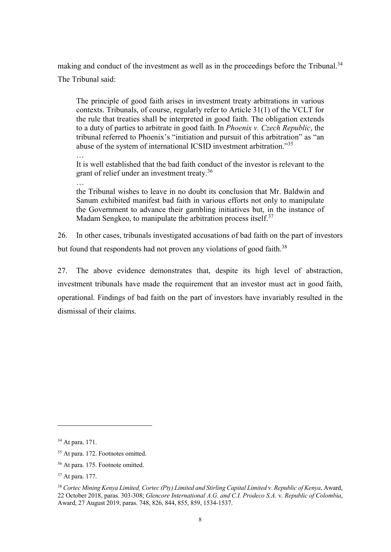making and conduct of the investment as well as in the proceedings before the Tribunal.<sup>34</sup> The Tribunal said:

The principle of good faith arises in investment treaty arbitrations in various contexts. Tribunals, of course, regularly refer to Article 31(1) of the VCLT for the rule that treaties shall be interpreted in good faith. The obligation extends to a duty of parties to arbitrate in good faith. In *Phoenix v. Czech Republic*, the tribunal referred to Phoenix's "initiation and pursuit of this arbitration" as "an abuse of the system of international ICSID investment arbitration."<sup>35</sup>

It is well established that the bad faith conduct of the investor is relevant to the grant of relief under an investment treaty.<sup>36</sup>

…

…

the Tribunal wishes to leave in no doubt its conclusion that Mr. Baldwin and Sanum exhibited manifest bad faith in various efforts not only to manipulate the Government to advance their gambling initiatives but, in the instance of Madam Sengkeo, to manipulate the arbitration process itself. $37$ 

26. In other cases, tribunals investigated accusations of bad faith on the part of investors but found that respondents had not proven any violations of good faith.<sup>38</sup>

27. The above evidence demonstrates that, despite its high level of abstraction, investment tribunals have made the requirement that an investor must act in good faith, operational. Findings of bad faith on the part of investors have invariably resulted in the dismissal of their claims.

<sup>34</sup> At para. 171.

<sup>35</sup> At para. 172. Footnotes omitted.

<sup>36</sup> At para. 175. Footnote omitted.

<sup>37</sup> At para. 177.

<sup>&</sup>lt;sup>38</sup> Cortec Mining Kenya Limited, Cortec (Pty) Limited and Stirling Capital Limited v. Republic of Kenya, Award, 22 October 2018, paras. 303-308; Glencore International A.G. and C.I. Prodeco S.A. v. Republic of Colombia, Award, 27 August 2019, paras. 748, 826, 844, 855, 859, 1534-1537.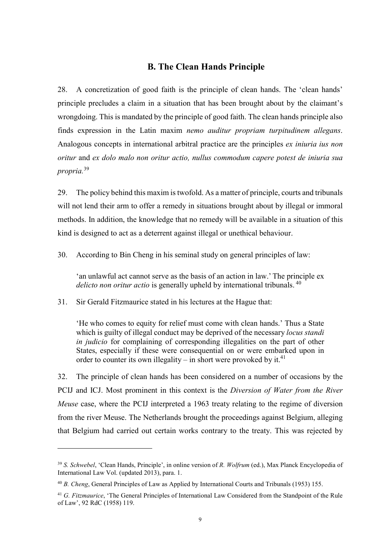#### B. The Clean Hands Principle

28. A concretization of good faith is the principle of clean hands. The 'clean hands' principle precludes a claim in a situation that has been brought about by the claimant's wrongdoing. This is mandated by the principle of good faith. The clean hands principle also finds expression in the Latin maxim nemo auditur propriam turpitudinem allegans. Analogous concepts in international arbitral practice are the principles ex iniuria ius non oritur and ex dolo malo non oritur actio, nullus commodum capere potest de iniuria sua propria.<sup>39</sup>

29. The policy behind this maxim is twofold. As a matter of principle, courts and tribunals will not lend their arm to offer a remedy in situations brought about by illegal or immoral methods. In addition, the knowledge that no remedy will be available in a situation of this kind is designed to act as a deterrent against illegal or unethical behaviour.

30. According to Bin Cheng in his seminal study on general principles of law:

'an unlawful act cannot serve as the basis of an action in law.' The principle ex delicto non oritur actio is generally upheld by international tribunals.  $40$ 

31. Sir Gerald Fitzmaurice stated in his lectures at the Hague that:

 $\overline{a}$ 

'He who comes to equity for relief must come with clean hands.' Thus a State which is guilty of illegal conduct may be deprived of the necessary *locus standi* in judicio for complaining of corresponding illegalities on the part of other States, especially if these were consequential on or were embarked upon in order to counter its own illegality – in short were provoked by it.<sup>41</sup>

32. The principle of clean hands has been considered on a number of occasions by the PCIJ and ICJ. Most prominent in this context is the Diversion of Water from the River Meuse case, where the PCIJ interpreted a 1963 treaty relating to the regime of diversion from the river Meuse. The Netherlands brought the proceedings against Belgium, alleging that Belgium had carried out certain works contrary to the treaty. This was rejected by

<sup>&</sup>lt;sup>39</sup> S. Schwebel, 'Clean Hands, Principle', in online version of R. Wolfrum (ed.), Max Planck Encyclopedia of International Law Vol. (updated 2013), para. 1.

<sup>&</sup>lt;sup>40</sup> B. Cheng, General Principles of Law as Applied by International Courts and Tribunals (1953) 155.

<sup>&</sup>lt;sup>41</sup> G. Fitzmaurice, 'The General Principles of International Law Considered from the Standpoint of the Rule of Law', 92 RdC (1958) 119.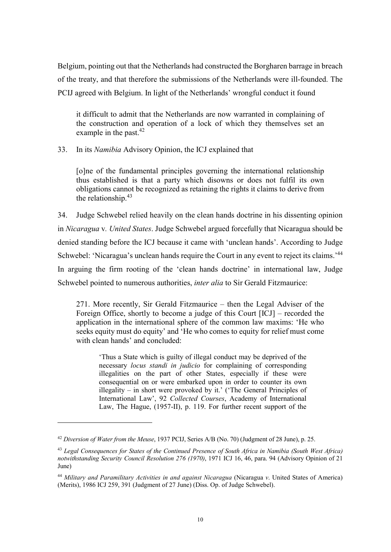Belgium, pointing out that the Netherlands had constructed the Borgharen barrage in breach of the treaty, and that therefore the submissions of the Netherlands were ill-founded. The PCIJ agreed with Belgium. In light of the Netherlands' wrongful conduct it found

it difficult to admit that the Netherlands are now warranted in complaining of the construction and operation of a lock of which they themselves set an example in the past. $42$ 

33. In its Namibia Advisory Opinion, the ICJ explained that

[o]ne of the fundamental principles governing the international relationship thus established is that a party which disowns or does not fulfil its own obligations cannot be recognized as retaining the rights it claims to derive from the relationship.<sup>43</sup>

34. Judge Schwebel relied heavily on the clean hands doctrine in his dissenting opinion in Nicaragua v. United States. Judge Schwebel argued forcefully that Nicaragua should be denied standing before the ICJ because it came with 'unclean hands'. According to Judge Schwebel: 'Nicaragua's unclean hands require the Court in any event to reject its claims.<sup>'44</sup> In arguing the firm rooting of the 'clean hands doctrine' in international law, Judge Schwebel pointed to numerous authorities, *inter alia* to Sir Gerald Fitzmaurice:

271. More recently, Sir Gerald Fitzmaurice – then the Legal Adviser of the Foreign Office, shortly to become a judge of this Court [ICJ] – recorded the application in the international sphere of the common law maxims: 'He who seeks equity must do equity' and 'He who comes to equity for relief must come with clean hands' and concluded:

'Thus a State which is guilty of illegal conduct may be deprived of the necessary locus standi in judicio for complaining of corresponding illegalities on the part of other States, especially if these were consequential on or were embarked upon in order to counter its own illegality – in short were provoked by it.' ('The General Principles of International Law', 92 Collected Courses, Academy of International Law, The Hague, (1957-II), p. 119. For further recent support of the

<sup>&</sup>lt;sup>42</sup> Diversion of Water from the Meuse, 1937 PCIJ, Series A/B (No. 70) (Judgment of 28 June), p. 25.

<sup>&</sup>lt;sup>43</sup> Legal Consequences for States of the Continued Presence of South Africa in Namibia (South West Africa) notwithstanding Security Council Resolution 276 (1970), 1971 ICJ 16, 46, para. 94 (Advisory Opinion of 21 June)

 $44$  Military and Paramilitary Activities in and against Nicaragua (Nicaragua v. United States of America) (Merits), 1986 ICJ 259, 391 (Judgment of 27 June) (Diss. Op. of Judge Schwebel).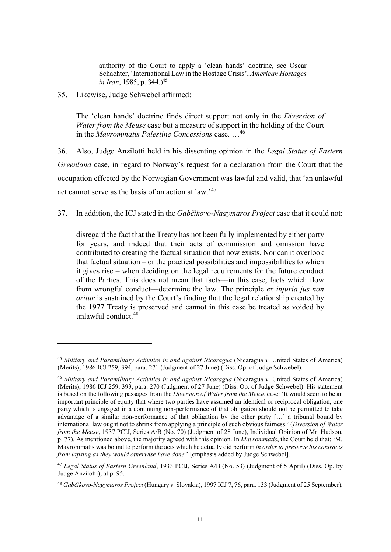authority of the Court to apply a 'clean hands' doctrine, see Oscar Schachter, 'International Law in the Hostage Crisis', American Hostages in Iran, 1985, p. 344.)<sup>45</sup>

35. Likewise, Judge Schwebel affirmed:

 $\overline{a}$ 

The 'clean hands' doctrine finds direct support not only in the Diversion of Water from the Meuse case but a measure of support in the holding of the Court in the Mavrommatis Palestine Concessions case. …<sup>46</sup>

36. Also, Judge Anzilotti held in his dissenting opinion in the Legal Status of Eastern Greenland case, in regard to Norway's request for a declaration from the Court that the occupation effected by the Norwegian Government was lawful and valid, that 'an unlawful act cannot serve as the basis of an action at law.'<sup>47</sup>

37. In addition, the ICJ stated in the Gabčikovo-Nagymaros Project case that it could not:

disregard the fact that the Treaty has not been fully implemented by either party for years, and indeed that their acts of commission and omission have contributed to creating the factual situation that now exists. Nor can it overlook that factual situation – or the practical possibilities and impossibilities to which it gives rise – when deciding on the legal requirements for the future conduct of the Parties. This does not mean that facts––in this case, facts which flow from wrongful conduct—determine the law. The principle ex injuria jus non oritur is sustained by the Court's finding that the legal relationship created by the 1977 Treaty is preserved and cannot in this case be treated as voided by unlawful conduct.<sup>48</sup>

 $45$  Military and Paramilitary Activities in and against Nicaragua (Nicaragua v. United States of America) (Merits), 1986 ICJ 259, 394, para. 271 (Judgment of 27 June) (Diss. Op. of Judge Schwebel).

<sup>46</sup> Military and Paramilitary Activities in and against Nicaragua (Nicaragua v. United States of America) (Merits), 1986 ICJ 259, 393, para. 270 (Judgment of 27 June) (Diss. Op. of Judge Schwebel). His statement is based on the following passages from the *Diversion of Water from the Meuse* case: 'It would seem to be an important principle of equity that where two parties have assumed an identical or reciprocal obligation, one party which is engaged in a continuing non-performance of that obligation should not be permitted to take advantage of a similar non-performance of that obligation by the other party […] a tribunal bound by international law ought not to shrink from applying a principle of such obvious fairness.' (Diversion of Water from the Meuse, 1937 PCIJ, Series A/B (No. 70) (Judgment of 28 June), Individual Opinion of Mr. Hudson, p. 77). As mentioned above, the majority agreed with this opinion. In Mavrommatis, the Court held that: 'M. Mavrommatis was bound to perform the acts which he actually did perform in order to preserve his contracts from lapsing as they would otherwise have done.' [emphasis added by Judge Schwebel].

<sup>&</sup>lt;sup>47</sup> Legal Status of Eastern Greenland, 1933 PCIJ, Series A/B (No. 53) (Judgment of 5 April) (Diss. Op. by Judge Anzilotti), at p. 95.

<sup>48</sup> Gabčikovo-Nagymaros Project (Hungary v. Slovakia), 1997 ICJ 7, 76, para. 133 (Judgment of 25 September).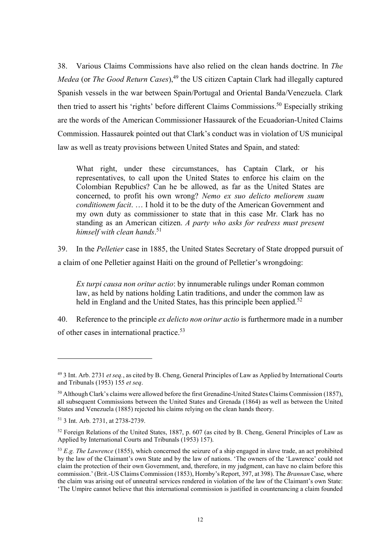38. Various Claims Commissions have also relied on the clean hands doctrine. In The *Medea* (or *The Good Return Cases*),  $49$  the US citizen Captain Clark had illegally captured Spanish vessels in the war between Spain/Portugal and Oriental Banda/Venezuela. Clark then tried to assert his 'rights' before different Claims Commissions.<sup>50</sup> Especially striking are the words of the American Commissioner Hassaurek of the Ecuadorian-United Claims Commission. Hassaurek pointed out that Clark's conduct was in violation of US municipal law as well as treaty provisions between United States and Spain, and stated:

What right, under these circumstances, has Captain Clark, or his representatives, to call upon the United States to enforce his claim on the Colombian Republics? Can he be allowed, as far as the United States are concerned, to profit his own wrong? Nemo ex suo delicto meliorem suam conditionem facit. … I hold it to be the duty of the American Government and my own duty as commissioner to state that in this case Mr. Clark has no standing as an American citizen. A party who asks for redress must present himself with clean hands.<sup>51</sup>

39. In the Pelletier case in 1885, the United States Secretary of State dropped pursuit of a claim of one Pelletier against Haiti on the ground of Pelletier's wrongdoing:

Ex turpi causa non oritur actio: by innumerable rulings under Roman common law, as held by nations holding Latin traditions, and under the common law as held in England and the United States, has this principle been applied.<sup>52</sup>

40. Reference to the principle *ex delicto non oritur actio* is furthermore made in a number of other cases in international practice.<sup>53</sup>

<sup>&</sup>lt;sup>49</sup> 3 Int. Arb. 2731 et seq., as cited by B. Cheng, General Principles of Law as Applied by International Courts and Tribunals (1953) 155 et seq.

<sup>50</sup> Although Clark's claims were allowed before the first Grenadine-United States Claims Commission (1857), all subsequent Commissions between the United States and Grenada (1864) as well as between the United States and Venezuela (1885) rejected his claims relying on the clean hands theory.

<sup>51</sup> 3 Int. Arb. 2731, at 2738-2739.

<sup>52</sup> Foreign Relations of the United States, 1887, p. 607 (as cited by B. Cheng, General Principles of Law as Applied by International Courts and Tribunals (1953) 157).

 $53$  E.g. The Lawrence (1855), which concerned the seizure of a ship engaged in slave trade, an act prohibited by the law of the Claimant's own State and by the law of nations. 'The owners of the 'Lawrence' could not claim the protection of their own Government, and, therefore, in my judgment, can have no claim before this commission.' (Brit.-US Claims Commission (1853), Hornby's Report, 397, at 398). The *Brannan* Case, where the claim was arising out of unneutral services rendered in violation of the law of the Claimant's own State: 'The Umpire cannot believe that this international commission is justified in countenancing a claim founded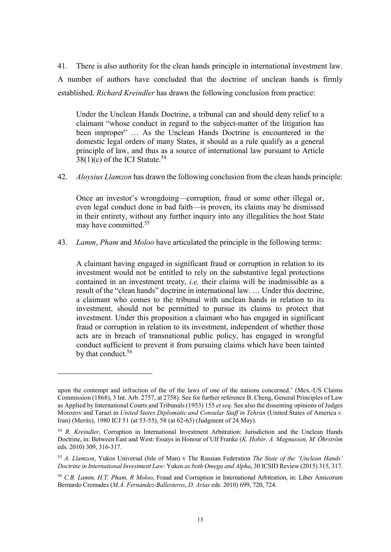41. There is also authority for the clean hands principle in international investment law. A number of authors have concluded that the doctrine of unclean hands is firmly established. Richard Kreindler has drawn the following conclusion from practice:

Under the Unclean Hands Doctrine, a tribunal can and should deny relief to a claimant "whose conduct in regard to the subject-matter of the litigation has been improper" … As the Unclean Hands Doctrine is encountered in the domestic legal orders of many States, it should as a rule qualify as a general principle of law, and thus as a source of international law pursuant to Article  $38(1)(c)$  of the ICJ Statute.<sup>54</sup>

42. Aloysius Llamzon has drawn the following conclusion from the clean hands principle:

Once an investor's wrongdoing––corruption, fraud or some other illegal or, even legal conduct done in bad faith––is proven, its claims may be dismissed in their entirety, without any further inquiry into any illegalities the host State may have committed.<sup>55</sup>

43. *Lamm, Pham and Moloo have articulated the principle in the following terms:* 

A claimant having engaged in significant fraud or corruption in relation to its investment would not be entitled to rely on the substantive legal protections contained in an investment treaty, i.e. their claims will be inadmissible as a result of the "clean hands" doctrine in international law. … Under this doctrine, a claimant who comes to the tribunal with unclean hands in relation to its investment, should not be permitted to pursue its claims to protect that investment. Under this proposition a claimant who has engaged in significant fraud or corruption in relation to its investment, independent of whether those acts are in breach of transnational public policy, has engaged in wrongful conduct sufficient to prevent it from pursuing claims which have been tainted by that conduct.<sup>56</sup>

upon the contempt and infraction of the of the laws of one of the nations concerned.' (Mex.-US Claims Commission (1868), 3 Int. Arb. 2757, at 2758). See for further reference B. Cheng, General Principles of Law as Applied by International Courts and Tribunals (1953) 155 et seq. See also the dissenting opinions of Judges Morozov and Tarazi in United States Diplomatic and Consular Staff in Tehran (United States of America v. Iran) (Merits), 1980 ICJ 51 (at 53-55), 58 (at 62-63) (Judgment of 24 May).

<sup>&</sup>lt;sup>54</sup> R. Kreindler, Corruption in International Investment Arbitration: Jurisdiction and the Unclean Hands Doctrine, in: Between East and West: Essays in Honour of Ulf Franke (K. Hobér, A. Magnusson, M. Öhrström eds. 2010) 309, 316-317.

<sup>55</sup> A. Llamzon, Yukos Universal (Isle of Man) v The Russian Federation The State of the 'Unclean Hands' Doctrine in International Investment Law: Yukos as both Omega and Alpha, 30 ICSID Review (2015) 315, 317.

<sup>56</sup> C.B. Lamm, H.T. Pham, R Moloo, Fraud and Corruption in International Arbitration, in: Liber Amicorum Bernardo Cremades (M.Á. Fernández-Ballesteros, D. Arias eds. 2010) 699, 720, 724.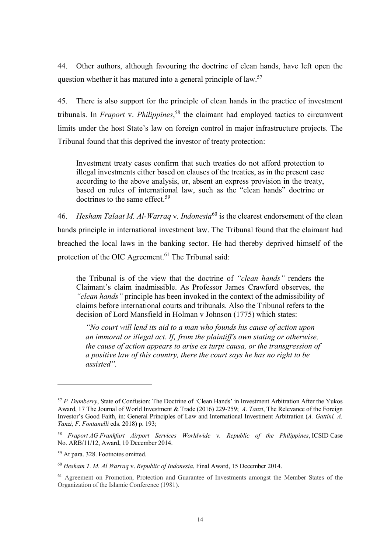44. Other authors, although favouring the doctrine of clean hands, have left open the question whether it has matured into a general principle of law.<sup>57</sup>

45. There is also support for the principle of clean hands in the practice of investment tribunals. In *Fraport* v. *Philippines*,<sup>58</sup> the claimant had employed tactics to circumvent limits under the host State's law on foreign control in major infrastructure projects. The Tribunal found that this deprived the investor of treaty protection:

Investment treaty cases confirm that such treaties do not afford protection to illegal investments either based on clauses of the treaties, as in the present case according to the above analysis, or, absent an express provision in the treaty, based on rules of international law, such as the "clean hands" doctrine or doctrines to the same effect.<sup>59</sup>

46. Hesham Talaat M. Al-Warraq v. Indonesia<sup>60</sup> is the clearest endorsement of the clean hands principle in international investment law. The Tribunal found that the claimant had breached the local laws in the banking sector. He had thereby deprived himself of the protection of the OIC Agreement.<sup>61</sup> The Tribunal said:

the Tribunal is of the view that the doctrine of "clean hands" renders the Claimant's claim inadmissible. As Professor James Crawford observes, the "clean hands" principle has been invoked in the context of the admissibility of claims before international courts and tribunals. Also the Tribunal refers to the decision of Lord Mansfield in Holman v Johnson (1775) which states:

"No court will lend its aid to a man who founds his cause of action upon an immoral or illegal act. If, from the plaintiff's own stating or otherwise, the cause of action appears to arise ex turpi causa, or the transgression of a positive law of this country, there the court says he has no right to be assisted".

<sup>57</sup> P. Dumberry, State of Confusion: The Doctrine of 'Clean Hands' in Investment Arbitration After the Yukos Award, 17 The Journal of World Investment & Trade (2016) 229-259; A. Tanzi, The Relevance of the Foreign Investor's Good Faith, in: General Principles of Law and International Investment Arbitration (A. Gattini, A. Tanzi, F. Fontanelli eds. 2018) p. 193;

 $58$  Fraport AG Frankfurt Airport Services Worldwide v. Republic of the Philippines, ICSID Case No. ARB/11/12, Award, 10 December 2014.

<sup>59</sup> At para. 328. Footnotes omitted.

 $60$  Hesham T. M. Al Warraa v. Republic of Indonesia, Final Award, 15 December 2014.

<sup>&</sup>lt;sup>61</sup> Agreement on Promotion, Protection and Guarantee of Investments amongst the Member States of the Organization of the Islamic Conference (1981).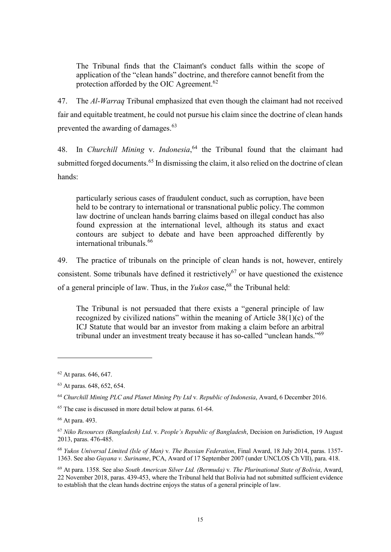The Tribunal finds that the Claimant's conduct falls within the scope of application of the "clean hands" doctrine, and therefore cannot benefit from the protection afforded by the OIC Agreement.<sup>62</sup>

47. The Al-Warraq Tribunal emphasized that even though the claimant had not received fair and equitable treatment, he could not pursue his claim since the doctrine of clean hands prevented the awarding of damages.<sup>63</sup>

48. In Churchill Mining v. Indonesia,  $64$  the Tribunal found that the claimant had submitted forged documents.<sup>65</sup> In dismissing the claim, it also relied on the doctrine of clean hands:

particularly serious cases of fraudulent conduct, such as corruption, have been held to be contrary to international or transnational public policy.The common law doctrine of unclean hands barring claims based on illegal conduct has also found expression at the international level, although its status and exact contours are subject to debate and have been approached differently by international tribunals.<sup>66</sup>

49. The practice of tribunals on the principle of clean hands is not, however, entirely consistent. Some tribunals have defined it restrictively<sup>67</sup> or have questioned the existence of a general principle of law. Thus, in the *Yukos* case,  $68$  the Tribunal held:

The Tribunal is not persuaded that there exists a "general principle of law recognized by civilized nations" within the meaning of Article 38(1)(c) of the ICJ Statute that would bar an investor from making a claim before an arbitral tribunal under an investment treaty because it has so-called "unclean hands."<sup>69</sup>

<sup>62</sup> At paras. 646, 647.

<sup>63</sup> At paras. 648, 652, 654.

<sup>64</sup> Churchill Mining PLC and Planet Mining Pty Ltd v. Republic of Indonesia, Award, 6 December 2016.

<sup>65</sup> The case is discussed in more detail below at paras. 61-64.

<sup>66</sup> At para. 493.

<sup>67</sup> Niko Resources (Bangladesh) Ltd. v. People's Republic of Bangladesh, Decision on Jurisdiction, 19 August 2013, paras. 476-485.

<sup>68</sup> Yukos Universal Limited (Isle of Man) v. The Russian Federation, Final Award, 18 July 2014, paras. 1357- 1363. See also Guyana v. Suriname, PCA, Award of 17 September 2007 (under UNCLOS Ch VII), para. 418.

 $69$  At para. 1358. See also South American Silver Ltd. (Bermuda) v. The Plurinational State of Bolivia, Award, 22 November 2018, paras. 439-453, where the Tribunal held that Bolivia had not submitted sufficient evidence to establish that the clean hands doctrine enjoys the status of a general principle of law.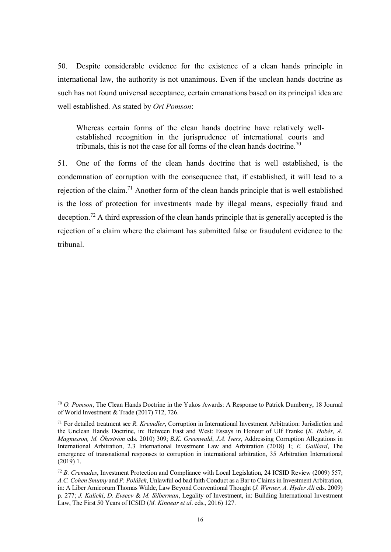50. Despite considerable evidence for the existence of a clean hands principle in international law, the authority is not unanimous. Even if the unclean hands doctrine as such has not found universal acceptance, certain emanations based on its principal idea are well established. As stated by Ori Pomson:

Whereas certain forms of the clean hands doctrine have relatively wellestablished recognition in the jurisprudence of international courts and tribunals, this is not the case for all forms of the clean hands doctrine.<sup>70</sup>

51. One of the forms of the clean hands doctrine that is well established, is the condemnation of corruption with the consequence that, if established, it will lead to a rejection of the claim.<sup>71</sup> Another form of the clean hands principle that is well established is the loss of protection for investments made by illegal means, especially fraud and deception.<sup>72</sup> A third expression of the clean hands principle that is generally accepted is the rejection of a claim where the claimant has submitted false or fraudulent evidence to the tribunal.

<sup>70</sup> O. Pomson, The Clean Hands Doctrine in the Yukos Awards: A Response to Patrick Dumberry, 18 Journal of World Investment & Trade (2017) 712, 726.

 $71$  For detailed treatment see R. Kreindler, Corruption in International Investment Arbitration: Jurisdiction and the Unclean Hands Doctrine, in: Between East and West: Essays in Honour of Ulf Franke (K. Hobér, A. Magnusson, M. Öhrström eds. 2010) 309; B.K. Greenwald, J.A. Ivers, Addressing Corruption Allegations in International Arbitration, 2.3 International Investment Law and Arbitration (2018) 1; E. Gaillard, The emergence of transnational responses to corruption in international arbitration, 35 Arbitration International (2019) 1.

 $72 B$ . Cremades, Investment Protection and Compliance with Local Legislation, 24 ICSID Review (2009) 557; A.C. Cohen Smutny and P. Polášek, Unlawful od bad faith Conduct as a Bar to Claims in Investment Arbitration, in: A Liber Amicorum Thomas Wälde, Law Beyond Conventional Thought (*J. Werner, A. Hyder Ali* eds. 2009) p. 277; J. Kalicki, D. Evseev & M. Silberman, Legality of Investment, in: Building International Investment Law, The First 50 Years of ICSID (M. Kinnear et al. eds., 2016) 127.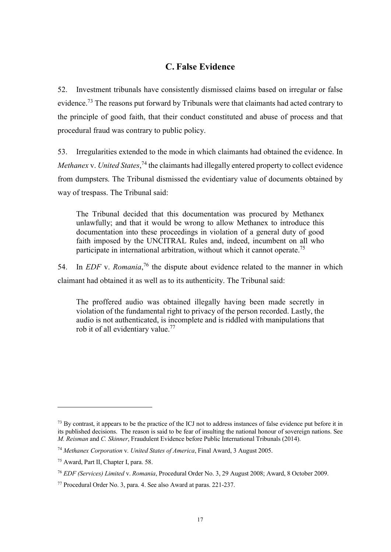### C. False Evidence

52. Investment tribunals have consistently dismissed claims based on irregular or false evidence.<sup>73</sup> The reasons put forward by Tribunals were that claimants had acted contrary to the principle of good faith, that their conduct constituted and abuse of process and that procedural fraud was contrary to public policy.

53. Irregularities extended to the mode in which claimants had obtained the evidence. In Methanex v. United States,<sup>74</sup> the claimants had illegally entered property to collect evidence from dumpsters. The Tribunal dismissed the evidentiary value of documents obtained by way of trespass. The Tribunal said:

The Tribunal decided that this documentation was procured by Methanex unlawfully; and that it would be wrong to allow Methanex to introduce this documentation into these proceedings in violation of a general duty of good faith imposed by the UNCITRAL Rules and, indeed, incumbent on all who participate in international arbitration, without which it cannot operate.<sup>75</sup>

54. In *EDF* v. *Romania*,<sup>76</sup> the dispute about evidence related to the manner in which claimant had obtained it as well as to its authenticity. The Tribunal said:

The proffered audio was obtained illegally having been made secretly in violation of the fundamental right to privacy of the person recorded. Lastly, the audio is not authenticated, is incomplete and is riddled with manipulations that rob it of all evidentiary value.<sup>77</sup>

<sup>&</sup>lt;sup>73</sup> By contrast, it appears to be the practice of the ICJ not to address instances of false evidence put before it in its published decisions. The reason is said to be fear of insulting the national honour of sovereign nations. See M. Reisman and C. Skinner, Fraudulent Evidence before Public International Tribunals (2014).

<sup>74</sup> Methanex Corporation v. United States of America, Final Award, 3 August 2005.

<sup>75</sup> Award, Part II, Chapter I, para. 58.

<sup>76</sup> EDF (Services) Limited v. Romania, Procedural Order No. 3, 29 August 2008; Award, 8 October 2009.

<sup>77</sup> Procedural Order No. 3, para. 4. See also Award at paras. 221-237.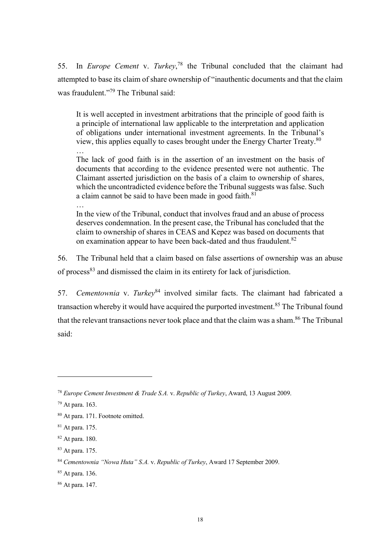55. In *Europe Cement* v. Turkey,<sup>78</sup> the Tribunal concluded that the claimant had attempted to base its claim of share ownership of "inauthentic documents and that the claim was fraudulent."<sup>79</sup> The Tribunal said:

It is well accepted in investment arbitrations that the principle of good faith is a principle of international law applicable to the interpretation and application of obligations under international investment agreements. In the Tribunal's view, this applies equally to cases brought under the Energy Charter Treaty.<sup>80</sup>

The lack of good faith is in the assertion of an investment on the basis of documents that according to the evidence presented were not authentic. The Claimant asserted jurisdiction on the basis of a claim to ownership of shares, which the uncontradicted evidence before the Tribunal suggests was false. Such a claim cannot be said to have been made in good faith.<sup>81</sup>

… In the view of the Tribunal, conduct that involves fraud and an abuse of process deserves condemnation. In the present case, the Tribunal has concluded that the claim to ownership of shares in CEAS and Kepez was based on documents that on examination appear to have been back-dated and thus fraudulent.<sup>82</sup>

56. The Tribunal held that a claim based on false assertions of ownership was an abuse of process<sup>83</sup> and dismissed the claim in its entirety for lack of jurisdiction.

57. Cementownia v. Turkey<sup>84</sup> involved similar facts. The claimant had fabricated a transaction whereby it would have acquired the purported investment.<sup>85</sup> The Tribunal found that the relevant transactions never took place and that the claim was a sham.<sup>86</sup> The Tribunal said:

 $\overline{a}$ 

…

 $78$  Europe Cement Investment & Trade S.A. v. Republic of Turkey, Award, 13 August 2009.

<sup>79</sup> At para. 163.

<sup>80</sup> At para. 171. Footnote omitted.

<sup>81</sup> At para. 175.

<sup>82</sup> At para. 180.

<sup>83</sup> At para. 175.

<sup>84</sup> Cementownia "Nowa Huta" S.A. v. Republic of Turkey, Award 17 September 2009.

<sup>85</sup> At para. 136.

<sup>86</sup> At para. 147.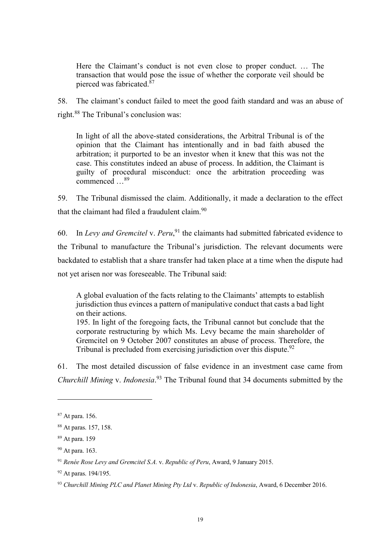Here the Claimant's conduct is not even close to proper conduct. … The transaction that would pose the issue of whether the corporate veil should be pierced was fabricated. $87$ 

58. The claimant's conduct failed to meet the good faith standard and was an abuse of right.<sup>88</sup> The Tribunal's conclusion was:

In light of all the above-stated considerations, the Arbitral Tribunal is of the opinion that the Claimant has intentionally and in bad faith abused the arbitration; it purported to be an investor when it knew that this was not the case. This constitutes indeed an abuse of process. In addition, the Claimant is guilty of procedural misconduct: once the arbitration proceeding was commenced ...<sup>89</sup>

59. The Tribunal dismissed the claim. Additionally, it made a declaration to the effect that the claimant had filed a fraudulent claim. $90$ 

60. In Levy and Gremcitel v. Peru,  $91$  the claimants had submitted fabricated evidence to the Tribunal to manufacture the Tribunal's jurisdiction. The relevant documents were backdated to establish that a share transfer had taken place at a time when the dispute had not yet arisen nor was foreseeable. The Tribunal said:

A global evaluation of the facts relating to the Claimants' attempts to establish jurisdiction thus evinces a pattern of manipulative conduct that casts a bad light on their actions.

195. In light of the foregoing facts, the Tribunal cannot but conclude that the corporate restructuring by which Ms. Levy became the main shareholder of Gremcitel on 9 October 2007 constitutes an abuse of process. Therefore, the Tribunal is precluded from exercising jurisdiction over this dispute.<sup>92</sup>

61. The most detailed discussion of false evidence in an investment case came from Churchill Mining v. Indonesia.<sup>93</sup> The Tribunal found that 34 documents submitted by the

<sup>87</sup> At para. 156.

<sup>88</sup> At paras. 157, 158.

<sup>89</sup> At para. 159

<sup>90</sup> At para. 163.

 $91$  Renée Rose Levy and Gremcitel S.A. v. Republic of Peru, Award, 9 January 2015.

<sup>92</sup> At paras. 194/195.

 $93$  Churchill Mining PLC and Planet Mining Pty Ltd v. Republic of Indonesia, Award, 6 December 2016.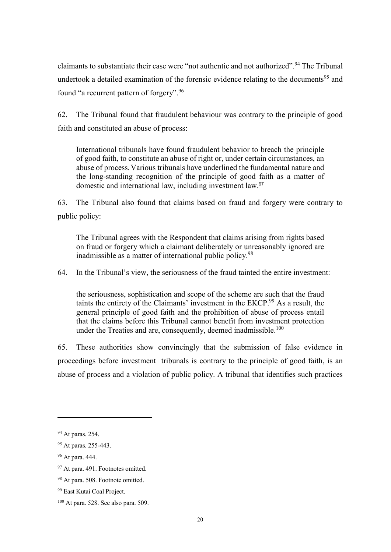claimants to substantiate their case were "not authoric and not authorized".<sup>94</sup> The Tribunal undertook a detailed examination of the forensic evidence relating to the documents<sup>95</sup> and found "a recurrent pattern of forgery".<sup>96</sup>

62. The Tribunal found that fraudulent behaviour was contrary to the principle of good faith and constituted an abuse of process:

International tribunals have found fraudulent behavior to breach the principle of good faith, to constitute an abuse of right or, under certain circumstances, an abuse of process.Various tribunals have underlined the fundamental nature and the long-standing recognition of the principle of good faith as a matter of domestic and international law, including investment law.<sup>97</sup>

63. The Tribunal also found that claims based on fraud and forgery were contrary to public policy:

The Tribunal agrees with the Respondent that claims arising from rights based on fraud or forgery which a claimant deliberately or unreasonably ignored are inadmissible as a matter of international public policy.<sup>98</sup>

64. In the Tribunal's view, the seriousness of the fraud tainted the entire investment:

the seriousness, sophistication and scope of the scheme are such that the fraud taints the entirety of the Claimants' investment in the EKCP.<sup>99</sup> As a result, the general principle of good faith and the prohibition of abuse of process entail that the claims before this Tribunal cannot benefit from investment protection under the Treaties and are, consequently, deemed inadmissible. $100$ 

65. These authorities show convincingly that the submission of false evidence in proceedings before investment tribunals is contrary to the principle of good faith, is an abuse of process and a violation of public policy. A tribunal that identifies such practices

<sup>94</sup> At paras. 254.

<sup>95</sup> At paras. 255-443.

<sup>96</sup> At para. 444.

<sup>97</sup> At para. 491. Footnotes omitted.

<sup>98</sup> At para. 508. Footnote omitted.

<sup>99</sup> East Kutai Coal Project.

<sup>100</sup> At para. 528. See also para. 509.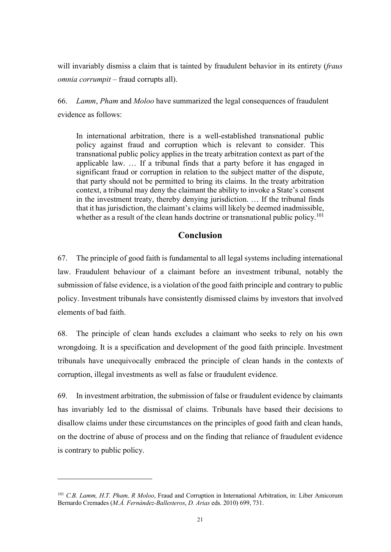will invariably dismiss a claim that is tainted by fraudulent behavior in its entirety (fraus omnia corrumpit – fraud corrupts all).

66. Lamm, Pham and Moloo have summarized the legal consequences of fraudulent evidence as follows:

In international arbitration, there is a well-established transnational public policy against fraud and corruption which is relevant to consider. This transnational public policy applies in the treaty arbitration context as part of the applicable law. … If a tribunal finds that a party before it has engaged in significant fraud or corruption in relation to the subject matter of the dispute, that party should not be permitted to bring its claims. In the treaty arbitration context, a tribunal may deny the claimant the ability to invoke a State's consent in the investment treaty, thereby denying jurisdiction. … If the tribunal finds that it has jurisdiction, the claimant's claims will likely be deemed inadmissible, whether as a result of the clean hands doctrine or transnational public policy.<sup>101</sup>

### Conclusion

67. The principle of good faith is fundamental to all legal systems including international law. Fraudulent behaviour of a claimant before an investment tribunal, notably the submission of false evidence, is a violation of the good faith principle and contrary to public policy. Investment tribunals have consistently dismissed claims by investors that involved elements of bad faith.

68. The principle of clean hands excludes a claimant who seeks to rely on his own wrongdoing. It is a specification and development of the good faith principle. Investment tribunals have unequivocally embraced the principle of clean hands in the contexts of corruption, illegal investments as well as false or fraudulent evidence.

69. In investment arbitration, the submission of false or fraudulent evidence by claimants has invariably led to the dismissal of claims. Tribunals have based their decisions to disallow claims under these circumstances on the principles of good faith and clean hands, on the doctrine of abuse of process and on the finding that reliance of fraudulent evidence is contrary to public policy.

<sup>&</sup>lt;sup>101</sup> C.B. Lamm, H.T. Pham, R. Moloo, Fraud and Corruption in International Arbitration, in: Liber Amicorum Bernardo Cremades (M.Á. Fernández-Ballesteros, D. Arias eds. 2010) 699, 731.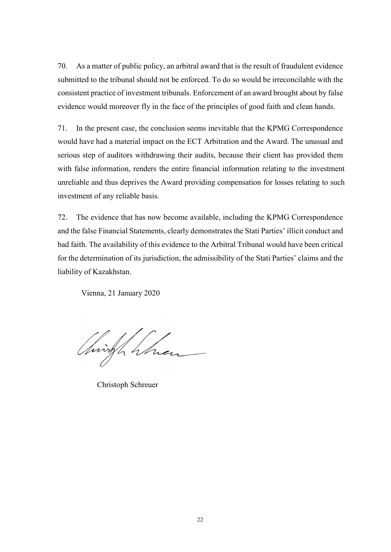70. As a matter of public policy, an arbitral award that is the result of fraudulent evidence submitted to the tribunal should not be enforced. To do so would be irreconcilable with the consistent practice of investment tribunals. Enforcement of an award brought about by false evidence would moreover fly in the face of the principles of good faith and clean hands.

71. In the present case, the conclusion seems inevitable that the KPMG Correspondence would have had a material impact on the ECT Arbitration and the Award. The unusual and serious step of auditors withdrawing their audits, because their client has provided them with false information, renders the entire financial information relating to the investment unreliable and thus deprives the Award providing compensation for losses relating to such investment of any reliable basis.

72. The evidence that has now become available, including the KPMG Correspondence and the false Financial Statements, clearly demonstrates the Stati Parties' illicit conduct and bad faith. The availability of this evidence to the Arbitral Tribunal would have been critical for the determination of its jurisdiction, the admissibility of the Stati Parties' claims and the liability of Kazakhstan.

Vienna, 21 January 2020

Christin 4

Christoph Schreuer